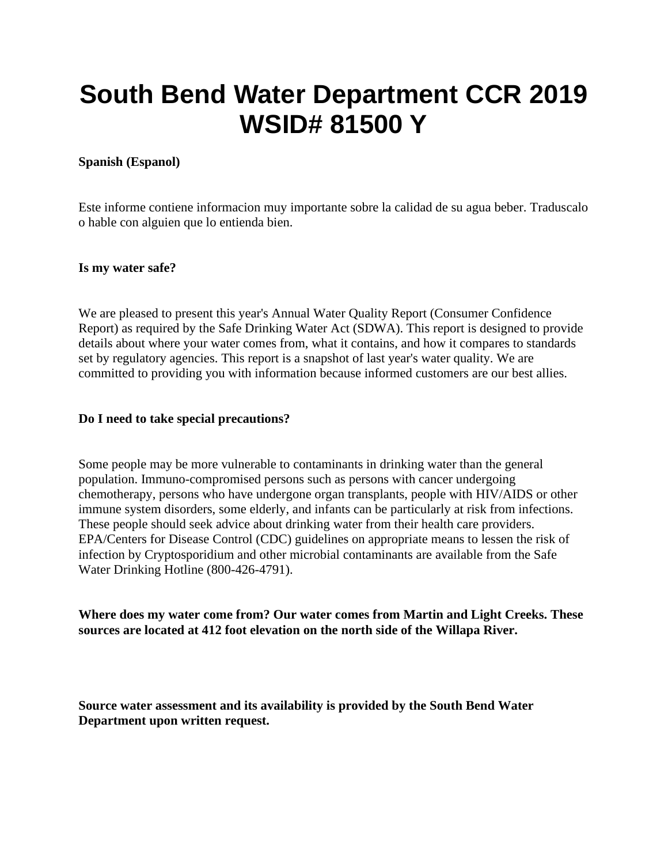# **South Bend Water Department CCR 2019 WSID# 81500 Y**

# **Spanish (Espanol)**

Este informe contiene informacion muy importante sobre la calidad de su agua beber. Traduscalo o hable con alguien que lo entienda bien.

# **Is my water safe?**

We are pleased to present this year's Annual Water Quality Report (Consumer Confidence Report) as required by the Safe Drinking Water Act (SDWA). This report is designed to provide details about where your water comes from, what it contains, and how it compares to standards set by regulatory agencies. This report is a snapshot of last year's water quality. We are committed to providing you with information because informed customers are our best allies.

#### **Do I need to take special precautions?**

Some people may be more vulnerable to contaminants in drinking water than the general population. Immuno-compromised persons such as persons with cancer undergoing chemotherapy, persons who have undergone organ transplants, people with HIV/AIDS or other immune system disorders, some elderly, and infants can be particularly at risk from infections. These people should seek advice about drinking water from their health care providers. EPA/Centers for Disease Control (CDC) guidelines on appropriate means to lessen the risk of infection by Cryptosporidium and other microbial contaminants are available from the Safe Water Drinking Hotline (800-426-4791).

**Where does my water come from? Our water comes from Martin and Light Creeks. These sources are located at 412 foot elevation on the north side of the Willapa River.** 

**Source water assessment and its availability is provided by the South Bend Water Department upon written request.**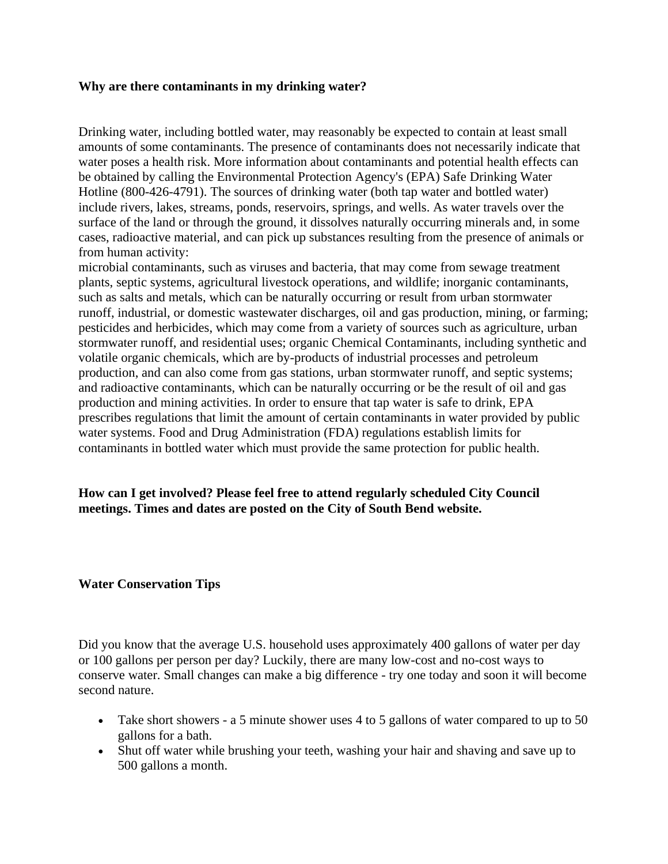#### **Why are there contaminants in my drinking water?**

Drinking water, including bottled water, may reasonably be expected to contain at least small amounts of some contaminants. The presence of contaminants does not necessarily indicate that water poses a health risk. More information about contaminants and potential health effects can be obtained by calling the Environmental Protection Agency's (EPA) Safe Drinking Water Hotline (800-426-4791). The sources of drinking water (both tap water and bottled water) include rivers, lakes, streams, ponds, reservoirs, springs, and wells. As water travels over the surface of the land or through the ground, it dissolves naturally occurring minerals and, in some cases, radioactive material, and can pick up substances resulting from the presence of animals or from human activity:

microbial contaminants, such as viruses and bacteria, that may come from sewage treatment plants, septic systems, agricultural livestock operations, and wildlife; inorganic contaminants, such as salts and metals, which can be naturally occurring or result from urban stormwater runoff, industrial, or domestic wastewater discharges, oil and gas production, mining, or farming; pesticides and herbicides, which may come from a variety of sources such as agriculture, urban stormwater runoff, and residential uses; organic Chemical Contaminants, including synthetic and volatile organic chemicals, which are by-products of industrial processes and petroleum production, and can also come from gas stations, urban stormwater runoff, and septic systems; and radioactive contaminants, which can be naturally occurring or be the result of oil and gas production and mining activities. In order to ensure that tap water is safe to drink, EPA prescribes regulations that limit the amount of certain contaminants in water provided by public water systems. Food and Drug Administration (FDA) regulations establish limits for contaminants in bottled water which must provide the same protection for public health.

**How can I get involved? Please feel free to attend regularly scheduled City Council meetings. Times and dates are posted on the City of South Bend website.** 

#### **Water Conservation Tips**

Did you know that the average U.S. household uses approximately 400 gallons of water per day or 100 gallons per person per day? Luckily, there are many low-cost and no-cost ways to conserve water. Small changes can make a big difference - try one today and soon it will become second nature.

- Take short showers a 5 minute shower uses 4 to 5 gallons of water compared to up to 50 gallons for a bath.
- Shut off water while brushing your teeth, washing your hair and shaving and save up to 500 gallons a month.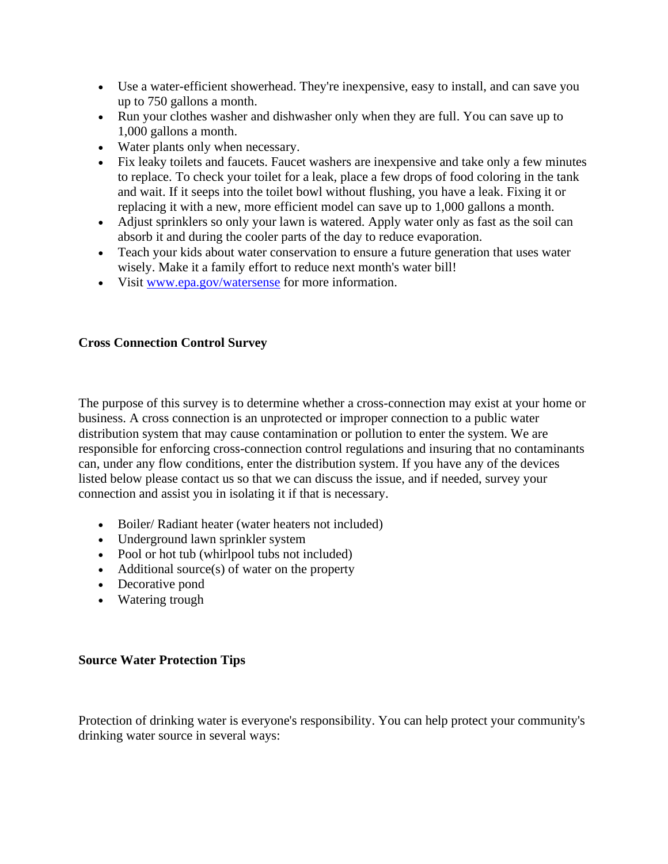- Use a water-efficient showerhead. They're inexpensive, easy to install, and can save you up to 750 gallons a month.
- Run your clothes washer and dishwasher only when they are full. You can save up to 1,000 gallons a month.
- Water plants only when necessary.
- Fix leaky toilets and faucets. Faucet washers are inexpensive and take only a few minutes to replace. To check your toilet for a leak, place a few drops of food coloring in the tank and wait. If it seeps into the toilet bowl without flushing, you have a leak. Fixing it or replacing it with a new, more efficient model can save up to 1,000 gallons a month.
- Adjust sprinklers so only your lawn is watered. Apply water only as fast as the soil can absorb it and during the cooler parts of the day to reduce evaporation.
- Teach your kids about water conservation to ensure a future generation that uses water wisely. Make it a family effort to reduce next month's water bill!
- Visit [www.epa.gov/watersense](http://www.epa.gov/watersense) for more information.

# **Cross Connection Control Survey**

The purpose of this survey is to determine whether a cross-connection may exist at your home or business. A cross connection is an unprotected or improper connection to a public water distribution system that may cause contamination or pollution to enter the system. We are responsible for enforcing cross-connection control regulations and insuring that no contaminants can, under any flow conditions, enter the distribution system. If you have any of the devices listed below please contact us so that we can discuss the issue, and if needed, survey your connection and assist you in isolating it if that is necessary.

- Boiler/ Radiant heater (water heaters not included)
- Underground lawn sprinkler system
- Pool or hot tub (whirlpool tubs not included)
- Additional source(s) of water on the property
- Decorative pond
- Watering trough

# **Source Water Protection Tips**

Protection of drinking water is everyone's responsibility. You can help protect your community's drinking water source in several ways: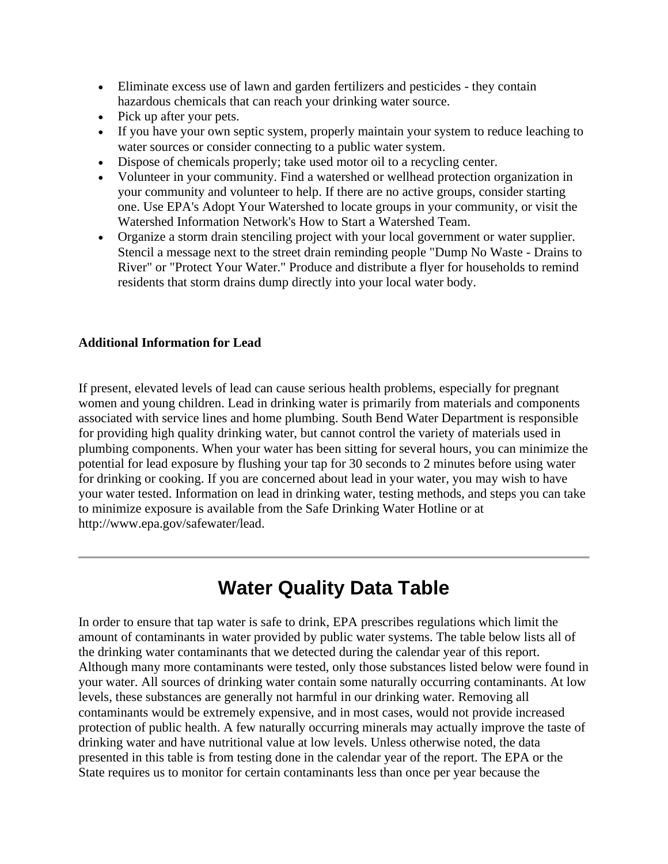- Eliminate excess use of lawn and garden fertilizers and pesticides they contain hazardous chemicals that can reach your drinking water source.
- Pick up after your pets.
- If you have your own septic system, properly maintain your system to reduce leaching to water sources or consider connecting to a public water system.
- Dispose of chemicals properly; take used motor oil to a recycling center.
- Volunteer in your community. Find a watershed or wellhead protection organization in your community and volunteer to help. If there are no active groups, consider starting one. Use EPA's Adopt Your Watershed to locate groups in your community, or visit the Watershed Information Network's How to Start a Watershed Team.
- Organize a storm drain stenciling project with your local government or water supplier. Stencil a message next to the street drain reminding people "Dump No Waste - Drains to River" or "Protect Your Water." Produce and distribute a flyer for households to remind residents that storm drains dump directly into your local water body.

# **Additional Information for Lead**

If present, elevated levels of lead can cause serious health problems, especially for pregnant women and young children. Lead in drinking water is primarily from materials and components associated with service lines and home plumbing. South Bend Water Department is responsible for providing high quality drinking water, but cannot control the variety of materials used in plumbing components. When your water has been sitting for several hours, you can minimize the potential for lead exposure by flushing your tap for 30 seconds to 2 minutes before using water for drinking or cooking. If you are concerned about lead in your water, you may wish to have your water tested. Information on lead in drinking water, testing methods, and steps you can take to minimize exposure is available from the Safe Drinking Water Hotline or at http://www.epa.gov/safewater/lead.

# **Water Quality Data Table**

In order to ensure that tap water is safe to drink, EPA prescribes regulations which limit the amount of contaminants in water provided by public water systems. The table below lists all of the drinking water contaminants that we detected during the calendar year of this report. Although many more contaminants were tested, only those substances listed below were found in your water. All sources of drinking water contain some naturally occurring contaminants. At low levels, these substances are generally not harmful in our drinking water. Removing all contaminants would be extremely expensive, and in most cases, would not provide increased protection of public health. A few naturally occurring minerals may actually improve the taste of drinking water and have nutritional value at low levels. Unless otherwise noted, the data presented in this table is from testing done in the calendar year of the report. The EPA or the State requires us to monitor for certain contaminants less than once per year because the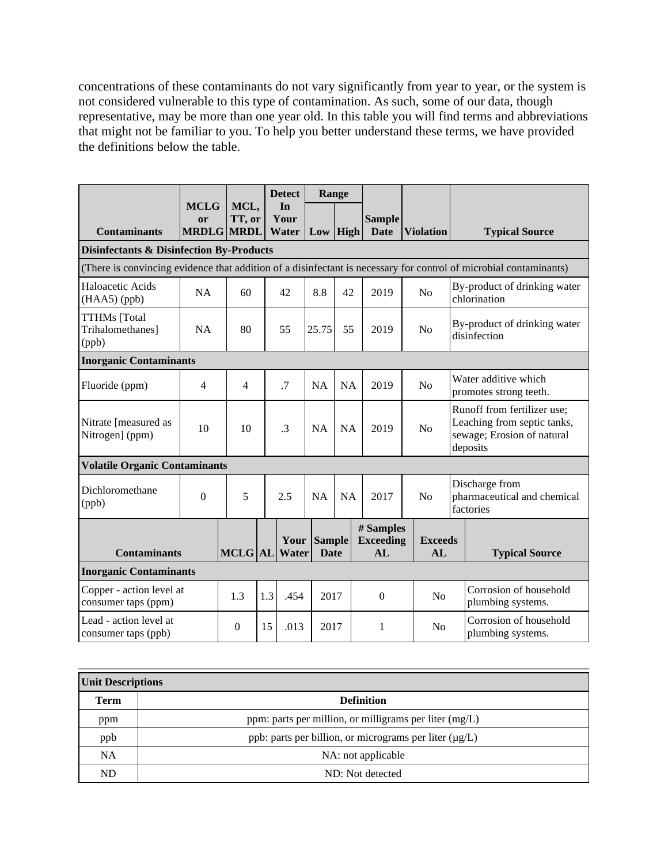concentrations of these contaminants do not vary significantly from year to year, or the system is not considered vulnerable to this type of contamination. As such, some of our data, though representative, may be more than one year old. In this table you will find terms and abbreviations that might not be familiar to you. To help you better understand these terms, we have provided the definitions below the table.

|                                                               |                                               |                |      | <b>Detect</b>       | Range                        |                |                                     |                                             |  |                                                                                                                   |
|---------------------------------------------------------------|-----------------------------------------------|----------------|------|---------------------|------------------------------|----------------|-------------------------------------|---------------------------------------------|--|-------------------------------------------------------------------------------------------------------------------|
| <b>Contaminants</b>                                           | <b>MCLG</b><br><b>or</b><br><b>MRDLG MRDL</b> | MCL,<br>TT, or |      | In<br>Your<br>Water | $Low$ High                   |                | <b>Sample</b><br><b>Date</b>        | <b>Violation</b>                            |  | <b>Typical Source</b>                                                                                             |
| <b>Disinfectants &amp; Disinfection By-Products</b>           |                                               |                |      |                     |                              |                |                                     |                                             |  |                                                                                                                   |
|                                                               |                                               |                |      |                     |                              |                |                                     |                                             |  | (There is convincing evidence that addition of a disinfectant is necessary for control of microbial contaminants) |
| Haloacetic Acids<br>$(HAA5)$ (ppb)                            | NA                                            | 60             |      | 42                  | 8.8                          | 42             | 2019                                | N <sub>o</sub>                              |  | By-product of drinking water<br>chlorination                                                                      |
| <b>TTHMs</b> [Total<br>Trihalomethanes]<br>(ppb)              | <b>NA</b>                                     | 80             |      | 55                  | 25.75                        | 55             | 2019                                | N <sub>o</sub>                              |  | By-product of drinking water<br>disinfection                                                                      |
| <b>Inorganic Contaminants</b>                                 |                                               |                |      |                     |                              |                |                                     |                                             |  |                                                                                                                   |
| Fluoride (ppm)                                                | $\overline{4}$                                | $\overline{4}$ |      | .7                  | <b>NA</b>                    | <b>NA</b>      | 2019                                | No                                          |  | Water additive which<br>promotes strong teeth.                                                                    |
| Nitrate [measured as<br>Nitrogen] (ppm)                       | 10                                            | 10             |      | .3                  | <b>NA</b>                    | <b>NA</b>      | 2019                                | N <sub>o</sub>                              |  | Runoff from fertilizer use;<br>Leaching from septic tanks,<br>sewage; Erosion of natural<br>deposits              |
| <b>Volatile Organic Contaminants</b>                          |                                               |                |      |                     |                              |                |                                     |                                             |  |                                                                                                                   |
| Dichloromethane<br>(ppb)                                      | $\overline{0}$                                | 5              |      | 2.5                 | NA                           | NA             | 2017                                | N <sub>o</sub>                              |  | Discharge from<br>pharmaceutical and chemical<br>factories                                                        |
| <b>Contaminants</b>                                           |                                               | <b>MCLG</b> AL |      | Your<br>Water       | <b>Sample</b><br><b>Date</b> |                | # Samples<br><b>Exceeding</b><br>AL | <b>Exceeds</b><br>AL                        |  | <b>Typical Source</b>                                                                                             |
| <b>Inorganic Contaminants</b>                                 |                                               |                |      |                     |                              |                |                                     |                                             |  |                                                                                                                   |
| Copper - action level at<br>1.3<br>1.3<br>consumer taps (ppm) |                                               | .454           | 2017 |                     | $\boldsymbol{0}$             | N <sub>o</sub> |                                     | Corrosion of household<br>plumbing systems. |  |                                                                                                                   |
| Lead - action level at<br>consumer taps (ppb)                 |                                               | $\Omega$       | 15   | .013                | 2017                         |                | 1                                   | No                                          |  | Corrosion of household<br>plumbing systems.                                                                       |

| Unit Descriptions |                                                             |  |  |  |  |
|-------------------|-------------------------------------------------------------|--|--|--|--|
| <b>Term</b>       | <b>Definition</b>                                           |  |  |  |  |
| ppm               | ppm: parts per million, or milligrams per liter (mg/L)      |  |  |  |  |
| ppb               | ppb: parts per billion, or micrograms per liter $(\mu g/L)$ |  |  |  |  |
| <b>NA</b>         | NA: not applicable                                          |  |  |  |  |
| ND                | ND: Not detected                                            |  |  |  |  |